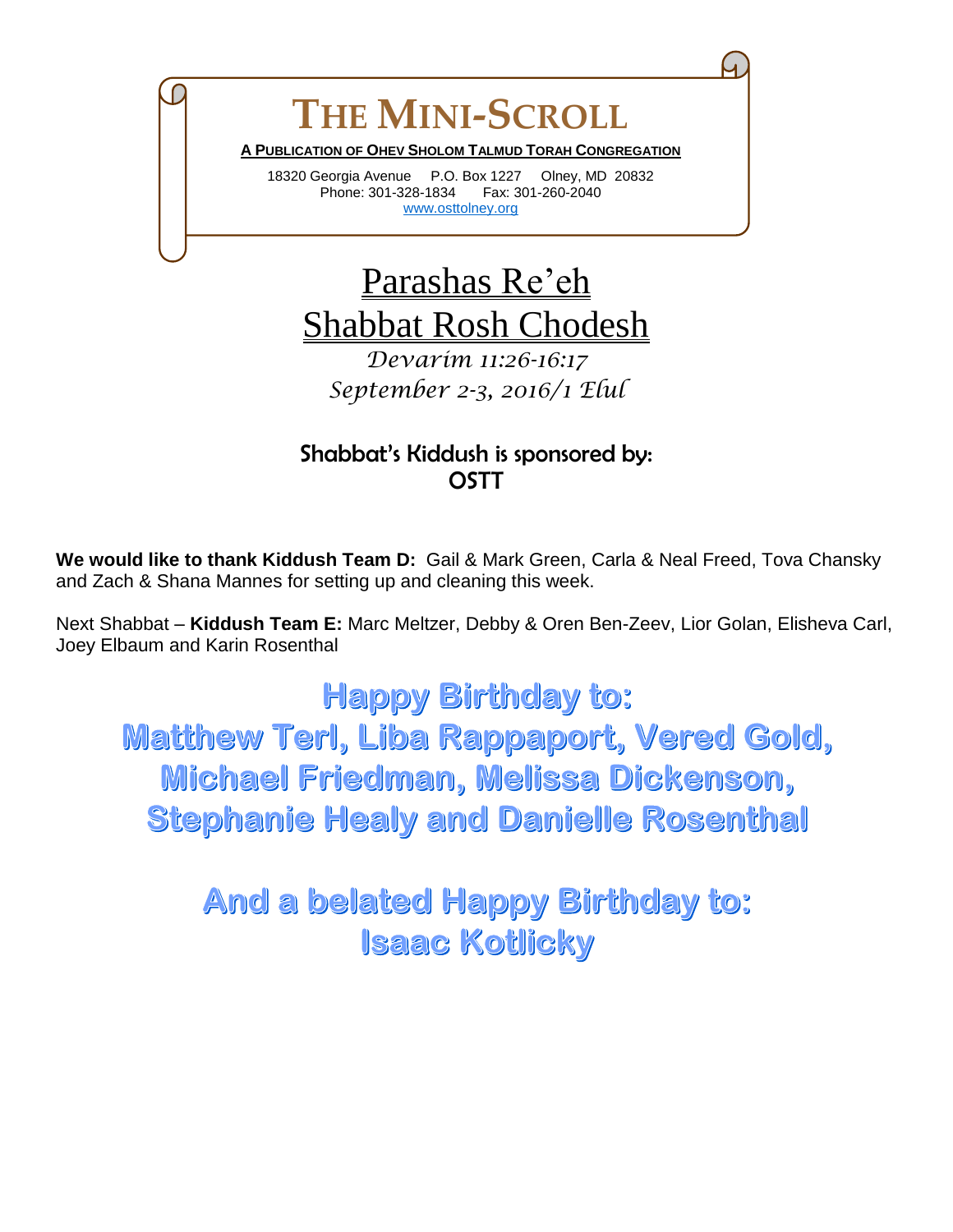## **THE MINI-SCROLL A PUBLICATION OF OHEV SHOLOM TALMUD TORAH CONGREGATION**

18320 Georgia Avenue P.O. Box 1227 Olney, MD 20832 Phone: 301-328-1834 Fax: 301-260-2040 [www.osttolney.org](file:///G:/OSTT/mini-scroll/www.osttolney.org)

## Parashas Re'eh Shabbat Rosh Chodesh

*Devarim 11:26-16:17 September 2-3, 2016/1 Elul*

## Shabbat's Kiddush is sponsored by: **OSTT**

**We would like to thank Kiddush Team D:** Gail & Mark Green, Carla & Neal Freed, Tova Chansky and Zach & Shana Mannes for setting up and cleaning this week.

Next Shabbat – **Kiddush Team E:** Marc Meltzer, Debby & Oren Ben-Zeev, Lior Golan, Elisheva Carl, Joey Elbaum and Karin Rosenthal

**Happy Birthday to: Matthew Terl, Liba Rappaport, Vered Gold,** Michael Friedman, Melissa Dickenson, **Stephanie Healy and Danielle Rosenthal** 

> **And a belated Happy Birthday to: Isaac Kotlicky**